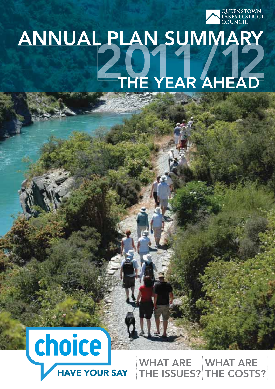

# ANNUAL PLAN SUMMARY THE YEAR AHEAD



WHAT ARE THE ISSUES? THE COSTS? WHAT ARE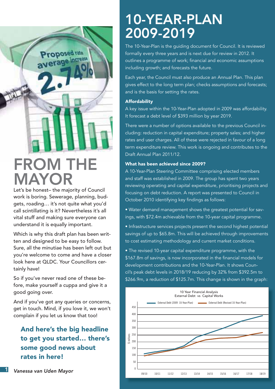

# FROM TH MAYOR

Let's be honest– the majority of Council work is boring. Sewerage, planning, budgets, roading… it's not quite what you'd call scintillating is it? Nevertheless it's all vital stuff and making sure everyone can understand it is equally important.

Which is why this draft plan has been written and designed to be easy to follow. Sure, all the minutiae has been left out but you're welcome to come and have a closer look here at QLDC. Your Councillors certainly have!

So if you've never read one of these before, make yourself a cuppa and give it a good going over.

And if you've got any queries or concerns, get in touch. Mind, if you love it, we won't complain if you let us know that too!

#### And here's the big headline to get you started… there's some good news about rates in here!

The 10-Year-Plan is the guiding document for Council. It is reviewed formally every three years and is next due for review in 2012. It outlines a programme of work; financial and economic assumptions including growth; and forecasts the future.

Each year, the Council must also produce an Annual Plan. This plan gives effect to the long term plan; checks assumptions and forecasts; and is the basis for setting the rates.

#### Affordability

A key issue within the 10-Year-Plan adopted in 2009 was affordability. It forecast a debt level of \$393 million by year 2019.

There were a number of options available to the previous Council including: reduction in capital expenditure; property sales; and higher rates and user charges. All of these were rejected in favour of a long term expenditure review. This work is ongoing and contributes to the Draft Annual Plan 2011/12.

#### What has been achieved since 2009?

A 10-Year-Plan Steering Committee comprising elected members and staff was established in 2009. The group has spent two years reviewing operating and capital expenditure, prioritising projects and focusing on debt reduction. A report was presented to Council in October 2010 identifying key findings as follows:

• Water demand management shows the greatest potential for savings, with \$72.4m achievable from the 10-year capital programme.

• Infrastructure services projects present the second highest potential savings of up to \$65.8m. This will be achieved through improvements to cost estimating methodology and current market conditions.

• The revised 10-year capital expenditure programme, with the \$167.8m of savings, is now incorporated in the financial models for development contributions and the 10-Year-Plan. It shows Council's peak debt levels in 2018/19 reducing by 32% from \$392.5m to \$266.9m, a reduction of \$125.7m. This change is shown in the graph:

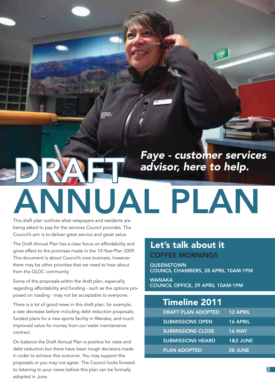

# This draft plan outlines what ratepayers and residents are NUAL PLAN

being asked to pay for the services Council provides. The Council's aim is to deliver great service and great value.

The Draft Annual Plan has a clear focus on affordability and gives effect to the promises made in the 10-Year-Plan 2009. This document is about Council's core business, however there may be other priorities that we need to hear about from the QLDC community.

Some of the proposals within the draft plan, especially regarding affordability and funding - such as the options proposed on roading - may not be acceptable to everyone.

There is a lot of good news in this draft plan; for example, a rate decrease before including debt reduction proposals; funded plans for a new sports facility in Wanaka; and much improved value for money from our water maintenance contract.

On balance the Draft Annual Plan is positive for rates and debt reduction but there have been tough decisions made in order to achieve this outcome. You may support the proposals or you may not agree. The Council looks forward to listening to your views before this plan can be formally adopted in June.

### Let's talk about it COFFEE MORNINGS

**QUEENSTOWN** COUNCIL CHAMBERS, 28 APRIL 10AM-1PM

WANAKA COUNCIL OFFICE, 29 APRIL 10AM-1PM

### Timeline 2011

| <b>DRAFT PLAN ADOPTED</b> | <b>12 APRIL</b>     |
|---------------------------|---------------------|
| <b>SUBMISSIONS OPEN</b>   | <b>16 APRIL</b>     |
| <b>SUBMISSIONS CLOSE</b>  | <b>16 MAY</b>       |
| <b>SUBMISSIONS HEARD</b>  | <b>1&amp;2 JUNE</b> |
| <b>PLAN ADOPTED</b>       | 28 JUNE             |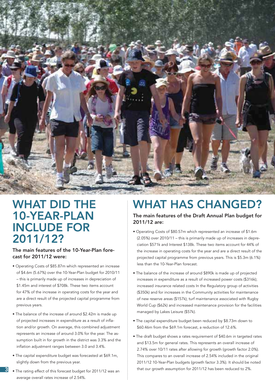

### WHAT DID THE 10-YEAR-PLAN INCLUDE FOR 2011/12?

#### The main features of the 10-Year-Plan forecast for 2011/12 were:

- Operating Costs of \$85.87m which represented an increase of \$4.6m (5.67%) over the 10-Year-Plan budget for 2010/11 – this is primarily made up of increases in depreciation of \$1.45m and interest of \$708k. These two items account for 47% of the increase in operating costs for the year and are a direct result of the projected capital programme from previous years.
- The balance of the increase of around \$2.42m is made up of projected increases in expenditure as a result of inflation and/or growth. On average, this combined adjustment represents an increase of around 3.0% for the year. The assumption built in for growth in the district was 3.3% and the inflation adjustment ranges between 3.0 and 3.4%.
- The capital expenditure budget was forecasted at \$69.1m, slightly down from the previous year.
- 3 that our growth assumption for 2011/12 has been reduced to 2%. The rating effect of this forecast budget for 2011/12 was an average overall rates increase of 2.54%.

## WHAT HAS CHANGED?

The main features of the Draft Annual Plan budget for 2011/12 are:

- Operating Costs of \$80.57m which represented an increase of \$1.6m (2.05%) over 2010/11 – this is primarily made up of increases in depreciation \$571k and Interest \$138k. These two items account for 44% of the increase in operating costs for the year and are a direct result of the projected capital programme from previous years. This is \$5.3m (6.1%) less than the 10-Year-Plan forecast.
- The balance of the increase of around \$890k is made up of projected increases in expenditure as a result of increased power costs (\$316k); increased insurance related costs In the Regulatory group of activities (\$350k) and for increases in the Community activities for maintenance of new reserve areas (\$157k); turf maintenance associated with Rugby World Cup (\$62k) and increased maintenance provision for the facilities managed by Lakes Leisure (\$57k).
- The capital expenditure budget been reduced by \$8.73m down to \$60.46m from the \$69.1m forecast, a reduction of 12.6%.
- The draft budget shows a rates requirement of \$40.6m in targeted rates and \$13.5m for general rates. This represents an overall increase of 2.74% over 10/11 rates after allowing for growth (growth factor 2.0%). This compares to an overall increase of 2.54% included in the original 2011/12 10-Year-Plan budgets (growth factor 3.3%). It should be noted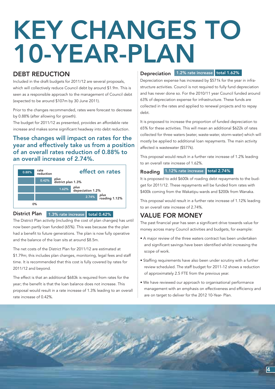# KEY CHANGES TO 10-YEAR-PLAN

#### DEBT REDUCTION

Included in the draft budgets for 2011/12 are several proposals, which will collectively reduce Council debt by around \$1.9m. This is seen as a responsible approach to the management of Council debt (expected to be around \$107m by 30 June 2011).

Prior to the changes recommended, rates were forecast to decrease by 0.88% (after allowing for growth).

The budget for 2011/12 as presented, provides an affordable rate increase and makes some significant headway into debt reduction.

#### These changes will impact on rates for the year and effectively take us from a position of an overall rates reduction of 0.88% to an overall increase of 2.74%.



#### District Plan 1.3% rate increase total 0.42%

The District Plan activity (including the cost of plan changes) has until now been partly loan funded (65%). This was because the the plan had a benefit to future generations. The plan is now fully operative and the balance of the loan sits at around \$8.5m.

The net costs of the District Plan for 2011/12 are estimated at \$1.79m; this includes plan changes, monitoring, legal fees and staff time. It is recommended that this cost is fully covered by rates for 2011/12 and beyond.

The effect is that an additional \$683k is required from rates for the year; the benefit is that the loan balance does not increase. This proposal would result in a rate increase of 1.3% leading to an overall rate increase of 0.42%.

#### Depreciation 1.2% rate increase total 1.62%

Depreciation expense has increased by \$571k for the year in infrastructure activities. Council is not required to fully fund depreciation and has never done so. For the 2010/11 year Council funded around 63% of depreciation expense for infrastructure. These funds are collected in the rates and applied to renewal projects and to repay debt.

It is proposed to increase the proportion of funded depreciation to 65% for these activities. This will mean an additional \$622k of rates collected for three waters (water, waste-water, storm-water) which will mostly be applied to additional loan repayments. The main activity affected is wastewater (\$577k).

This proposal would result in a further rate increase of 1.2% leading to an overall rate increase of 1.62%.

#### Roading 1.12% rate increase total 2.74%

It is proposed to add \$600k of roading debt repayments to the budget for 2011/12. These repayments will be funded from rates with \$400k coming from the Wakatipu wards and \$200k from Wanaka.

This proposal would result in a further rate increase of 1.12% leading to an overall rate increase of 2.74%.

#### VALUE FOR MONEY

The past financial year has seen a significant drive towards value for money across many Council activities and budgets, for example:

- A major review of the three waters contract has been undertaken and significant savings have been identified whilst increasing the scope of work.
- Staffing requirements have also been under scrutiny with a further review scheduled. The staff budget for 2011-12 shows a reduction of approximately 2.5 FTE from the previous year.
- We have reviewed our approach to organisational performance management with an emphasis on effectiveness and efficiency and are on target to deliver for the 2012 10-Year- Plan.

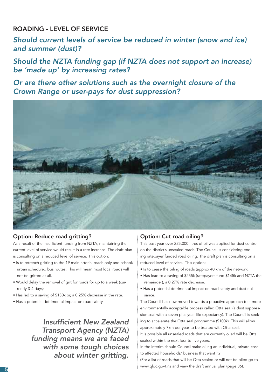ROADING - LEVEL OF SERVICE

Should current levels of service be reduced in winter (snow and ice) and summer (dust)?

Should the NZTA funding gap (if NZTA does not support an increase) be 'made up' by increasing rates?

Or are there other solutions such as the overnight closure of the Crown Range or user-pays for dust suppression?



#### Option: Reduce road gritting?

As a result of the insufficient funding from NZTA, maintaining the current level of service would result in a rate increase. The draft plan is consulting on a reduced level of service. This option:

- Is to retrench gritting to the 19 main arterial roads only and school/ urban scheduled bus routes. This will mean most local roads will not be gritted at all.
- Would delay the removal of grit for roads for up to a week (currently 3-4 days).
- Has led to a saving of \$130k or, a 0.25% decrease in the rate.
- Has a potential detrimental impact on road safety.

Insufficient New Zealand Transport Agency (NZTA) funding means we are faced with some tough choices about winter gritting.

#### Option: Cut road oiling?

This past year over 225,000 litres of oil was applied for dust control on the district's unsealed roads. The Council is considering ending ratepayer funded road oiling. The draft plan is consulting on a reduced level of service. This option:

- Is to cease the oiling of roads (approx 40 km of the network).
- Has lead to a saving of \$255k (ratepayers fund \$145k and NZTA the remainder), a 0.27% rate decrease.
- Has a potential detrimental impact on road safety and dust nuisance.

The Council has now moved towards a proactive approach to a more environmentally acceptable process called Otta seal (a dust suppression seal with a seven plus year life expectancy). The Council is seeking to accelerate the Otta seal programme (\$100k). This will allow approximately 7km per year to be treated with Otta seal.

It is possible all unsealed roads that are currently oiled will be Otta sealed within the next four to five years.

In the interim should Council make oiling an individual, private cost to affected households/ business that want it?

(For a list of roads that will be Otta sealed or will not be oiled go to www.qldc.govt.nz and view the draft annual plan (page 36).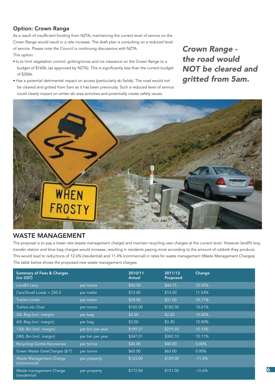#### Option: Crown Range

As a result of insufficient funding from NZTA, maintaining the current level of service on the Crown Range would result in a rate increase. The draft plan is consulting on a reduced level of service. Please note the Council is continuing discussions with NZTA. This option:

- Is to limit vegetation control, gritting/snow and ice clearance on the Crown Range to a budget of \$160k, (as approved by NZTA). This is significantly less than the current budget of \$306k.
- Has a potential detrimental impact on access (particularly ski fields). The road would not be cleared and gritted from 5am as it has been previously. Such a reduced level of service could clearly impact on winter ski area activities and potentially create safety issues.

Crown Range the road would NOT be cleared and gritted from 5am.



#### WASTE MANAGEMENT

The proposal is to pay a lower rate (waste management charge) and maintain recycling user charges at the current level. However landfill levy, transfer station and blue bag charges would increase, resulting in residents paying more according to the amount of rubbish they produce. This would lead to reductions of 12.6% (residential) and 11.4% (commercial) in rates for waste management (Waste Management Charges). The table below shows the proposed new waste management charges.

| <b>Summary of Fees &amp; Charges</b><br>$(inc$ GST $)$ |                  | 2010/11<br><b>Actual</b> | 2011/12<br>Proposed | Change   |
|--------------------------------------------------------|------------------|--------------------------|---------------------|----------|
| Landfill Levy                                          | per tonne        | \$40.50                  | \$44.75             | 10.50%   |
| Cars/Small Loads < 250 lt                              | per trailer      | \$13.00                  | \$14.50             | 11.54%   |
| <b>Trailers Under</b>                                  | per trailer      | \$28.00                  | \$31.00             | 10.71%   |
| Trailers etc Over                                      | per tonne        | \$165.00                 | \$182.00            | 10.61%   |
| 30L Bag (incl. margin)                                 | per bag          | \$2.00                   | \$2.20              | 10.00%   |
| 60L Bag (incl. margin)                                 | per bag          | \$3.00                   | \$3.30              | 10.00%   |
| 120L Bin (incl. margin)                                | per bin per year | \$199.31                 | \$219.50            | 10.13%   |
| 240L Bin (incl. margin)                                | per bin per year | \$347.01                 | \$382.10            | 10.11%   |
| <b>Recycling Centre Recoveries</b>                     | per tonne        | \$40.00                  | \$40.00             | 0.00%    |
| Green Waste GateCharges (\$/T)                         | per tonne        | \$65.00                  | \$65.00             | $0.00\%$ |
| Waste Management Charge<br>(commercial)                | per property     | \$123.00                 | \$109.00            | $-11.4%$ |
| Waste management Charge<br>(residential)               | per property     | \$172.84                 | \$151.00            | $-12.6%$ |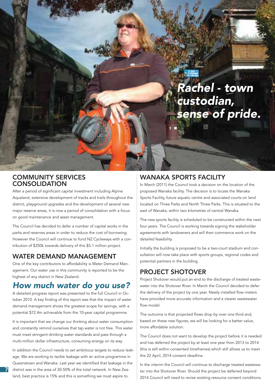Rachel - town custodian, sense of pride.

#### COMMUNITY SERVICES **CONSOLIDATION**

After a period of significant capital investment including Alpine Aqualand, extensive development of tracks and trails throughout the district, playground upgrades and the development of several new major reserve areas, it is now a period of consolidation with a focus on good maintenance and asset management.

The Council has decided to defer a number of capital works in the parks and reserves areas in order to reduce the cost of borrowing. However the Council will continue to fund NZ Cycleways with a contribution of \$250k towards delivery of this \$5.1 million project.

#### WATER DEMAND MANAGEMENT

One of the key contributors to affordability is Water Demand Management. Our water use in this community is reported to be the highest of any district in New Zealand.

#### How much water do you use?

A detailed progress report was presented to the full Council in October 2010. A key finding of this report was that the impact of water demand management shows the greatest scope for savings, with a potential \$72.4m achievable from the 10-year capital programme.

It is important that we change our thinking about water consumption and constantly remind ourselves that tap water is not free. This water must meet stringent drinking water standards and pass through a multi-million dollar infrastructure, consuming energy on its way.

In addition the Council needs to set ambitious targets to reduce leakage. We are working to tackle leakage with an active programme in Queenstown and Wanaka. Last year we identified that leakage in the district was in the area of 30-50% of the total network. In New Zealand, best practice is 15% and this is something we must aspire to.

7

#### WANAKA SPORTS FACILITY

In March (2011) the Council took a decision on the location of the proposed Wanaka facility. The decision is to locate the Wanaka Sports Facility, future aquatic centre and associated courts on land located on Three Parks and North Three Parks. This is situated to the east of Wanaka, within two kilometres of central Wanaka.

The new sports facility is scheduled to be constructed within the next four years. The Council is working towards signing the stakeholder agreements with landowners and will then commence work on the detailed feasibility.

Initially the building is proposed to be a two-court stadium and consultation will now take place with sports groups, regional codes and potential partners in the building.

#### PROJECT SHOTOVER

Project Shotover would put an end to the discharge of treated wastewater into the Shotover River. In March the Council decided to defer the delivery of the project by one year. Newly installed flow meters have provided more accurate information and a clearer wastewater flow model.

The outcome is that projected flows drop by over one third and, based on these new figures, we will be looking for a better value, more affordable solution.

The Council does not want to develop the project before it is needed and has deferred the project by at least one year from 2013 to 2014 (this is still within consented timeframes) which still allows us to meet the 22 April, 2014 consent deadline.

In the interim the Council will continue to discharge treated wastewater into the Shotover River. Should the project be deferred beyond 2014 Council will need to revise existing resource consent conditions.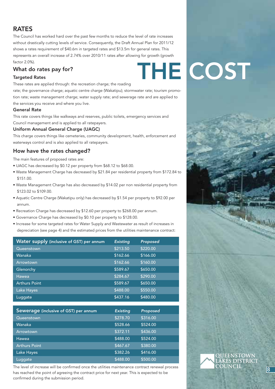#### **RATES**

The Council has worked hard over the past few months to reduce the level of rate increases without drastically cutting levels of service. Consequently, the Draft Annual Plan for 2011/12 shows a rates requirement of \$40.6m in targeted rates and \$13.5m for general rates. This represents an overall increase of 2.74% over 2010/11 rates after allowing for growth (growth factor 2.0%).

#### What do rates pay for?

#### Targeted Rates

These rates are applied through: the recreation charge; the roading

rate; the governance charge; aquatic centre charge (Wakatipu); stormwater rate; tourism promotion rate; waste management charge; water supply rate; and sewerage rate and are applied to the services you receive and where you live.

#### General Rate

This rate covers things like walkways and reserves, public toilets, emergency services and Council management and is applied to all ratepayers.

#### Uniform Annual General Charge (UAGC)

This charge covers things like cemeteries, community development, health, enforcement and waterways control and is also applied to all ratepayers.

#### How have the rates changed?

The main features of proposed rates are:

- UAGC has decreased by \$0.12 per property from \$68.12 to \$68.00.
- Waste Management Charge has decreased by \$21.84 per residential property from \$172.84 to \$151.00.
- Waste Management Charge has also decreased by \$14.02 per non residential property from \$123.02 to \$109.00.
- Aquatic Centre Charge (Wakatipu only) has decreased by \$1.54 per property to \$92.00 per annum.
- Recreation Charge has decreased by \$12.60 per property to \$268.00 per annum.
- Governance Charge has decreased by \$0.10 per property to \$128.00.
- Increase for some targeted rates for Water Supply and Wastewater as result of increases in depreciation (see page 4) and the estimated prices from the utilities maintenance contract:

| Water supply (inclusive of GST) per annum | <b>Existing</b> | Proposed |
|-------------------------------------------|-----------------|----------|
| Queenstown                                | \$213.50        | \$220.00 |
| Wanaka                                    | \$162.66        | \$166.00 |
| Arrowtown                                 | \$162.66        | \$160.00 |
| Glenorchy                                 | \$589.67        | \$650.00 |
| Hawea                                     | \$284.67        | \$290.00 |
| <b>Arthurs Point</b>                      | \$589.67        | \$650.00 |
| Lake Hayes                                | \$488.00        | \$550.00 |
| Luggate                                   | \$437.16        | \$480.00 |

| Sewerage (inclusive of GST) per annum | <b>Existing</b> | Proposed |
|---------------------------------------|-----------------|----------|
| Queenstown                            | \$278.70        | \$316.00 |
| Wanaka                                | \$528.66        | \$524.00 |
| Arrowtown                             | \$372.11        | \$436.00 |
| Hawea                                 | \$488.00        | \$524.00 |
| <b>Arthurs Point</b>                  | \$467.67        | \$380.00 |
| Lake Hayes                            | \$382.26        | \$416.00 |
| Luggate                               | \$488.00        | \$500.00 |

The level of increase will be confirmed once the utilities maintenance contract renewal process COUNCIL has reached the point of agreeing the contract price for next year. This is expected to be confirmed during the submission period.

# THE COST

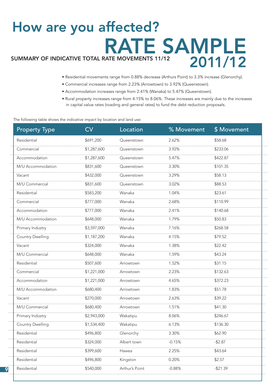# RATE SAMPLE 2011/12 SUMMARY OF INDICATIVE TOTAL RATE MOVEMENTS 11/12 How are you affected?

- Residential movements range from 0.88% decrease (Arthurs Point) to 3.3% increase (Glenorchy).
- Commercial increases range from 2.23% (Arrowtown) to 3.92% (Queenstown).
- Accommodation increases range from 2.41% (Wanaka) to 5.47% (Queenstown).
- Rural property increases range from 4.15% to 8.06%. These increases are mainly due to the increases in capital value rates (roading and general rates) to fund the debt reduction proposals.

The following table shows the indicative impact by location and land use:

9

| <b>Property Type</b>    | CV          | Location       | % Movement | \$ Movement |
|-------------------------|-------------|----------------|------------|-------------|
| Residential             | \$691,200   | Queenstown     | 2.62%      | \$58.68     |
| Commercial              | \$1,287,600 | Queenstown     | 3.92%      | \$233.06    |
| Accommodation           | \$1,287,600 | Queenstown     | .<br>5.47% | \$422.87    |
| M/U Accommodation       | \$831,600   | Queenstown     | 3.30%      | \$101.35    |
| Vacant                  | \$432,000   | Queenstown     | 3.29%      | \$58.13     |
| M/U Commercial          | \$831,600   | Queenstown     | 3.02%      | \$88.53     |
| Residential             | \$583,200   | Wanaka         | 1.04%      | \$23.61     |
| Commercial              | \$777,000   | Wanaka         | 2.68%      | \$110.99    |
| Accommodation           | \$777,000   | Wanaka         | 2.41%      | \$140.68    |
| M/U Accommodation       | \$648,000   | Wanaka         | 1.79%      | \$50.83     |
| Primary Industry        | \$3,597,000 | Wanaka         | 7.16%      | \$268.58    |
| <b>Country Dwelling</b> | \$1,187,200 | Wanaka         | 4.15%      | \$79.52     |
| Vacant                  | \$324,000   | Wanaka         | 1.38%      | \$22.42     |
| M/U Commercial          | \$648,000   | Wanaka         | 1.59%      | \$43.24     |
| Residential             | \$507,600   | Arrowtown      | 1.52%      | \$31.15     |
| Commercial              | \$1,221,000 | Arrowtown      | 2.23%      | \$132.63    |
| Accommodation           | \$1,221,000 | Arrowtown      | 4.65%      | \$372.23    |
| M/U Accommodation       | \$680,400   | Arrowtown      | 1.83%      | \$51.78     |
| Vacant                  | \$270,000   | Arrowtown      | 2.63%      | \$39.22     |
| M/U Commercial          | \$680,400   | Arrowtown      | 1.51%      | \$41.30     |
| Primary Industry        | \$2,943,000 | Wakatipu       | 8.06%      | \$246.67    |
| <b>Country Dwelling</b> | \$1,534,400 | Wakatipu       | 6.13%      | \$136.30    |
| Residential             | \$496,800   | Glenorchy      | 3.30%      | \$62.90     |
| Residential             | \$324,000   | Albert town    | $-0.15%$   | $-$ \$2.87  |
| Residential             | \$399,600   | Hawea          | 2.25%      | \$43.64     |
| Residential             | \$496,800   | Kingston       | 0.20%      | \$2.57      |
| Residential             | \$540,000   | Arthur's Point | $-0.88%$   | -\$21.39    |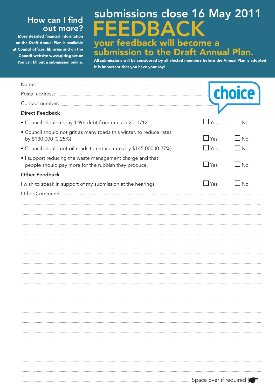#### How can I find out more?

More detailed financial information on the Draft Annual Plan is available at Council offices, libraries and on the Council website www.qldc.govt.nz You can fill out a submission online.

## FEEDBACK your feedback will become a submission to the Draft Annual Plan. submissions close 16 May 2011

All submissions will be considered by all elected members before the Annual Plan is adopted. It is important that you have your say!

|                                                                                                                   | Ce         |              |
|-------------------------------------------------------------------------------------------------------------------|------------|--------------|
|                                                                                                                   |            |              |
| <b>Direct Feedback</b>                                                                                            |            |              |
| • Council should repay 1.9m debt from rates in 2011/12                                                            | $\Box$ Yes | $\Box$ No    |
| • Council should not grit as many roads this winter, to reduce rates<br>by \$130,000 (0.25%)                      | $\Box$ Yes | $\square$ No |
| • Council should not oil roads to reduce rates by \$145,000 (0.27%)                                               | $\Box$ Yes | $\Box$ No    |
| • I support reducing the waste management charge and that<br>people should pay more for the rubbish they produce. | $\Box$ Yes | $\square$ No |
| <b>Other Feedback</b>                                                                                             |            |              |
| I wish to speak in support of my submission at the hearings                                                       | <b>Yes</b> | $\Box$ No    |
|                                                                                                                   |            |              |
|                                                                                                                   |            |              |
|                                                                                                                   |            |              |
|                                                                                                                   |            |              |
|                                                                                                                   |            |              |
|                                                                                                                   |            |              |
|                                                                                                                   |            |              |
|                                                                                                                   |            |              |
|                                                                                                                   |            |              |
|                                                                                                                   |            |              |
|                                                                                                                   |            |              |
|                                                                                                                   |            |              |
|                                                                                                                   |            |              |
|                                                                                                                   |            |              |
|                                                                                                                   |            |              |
|                                                                                                                   |            |              |
|                                                                                                                   |            |              |
|                                                                                                                   |            |              |
|                                                                                                                   |            |              |
|                                                                                                                   |            |              |